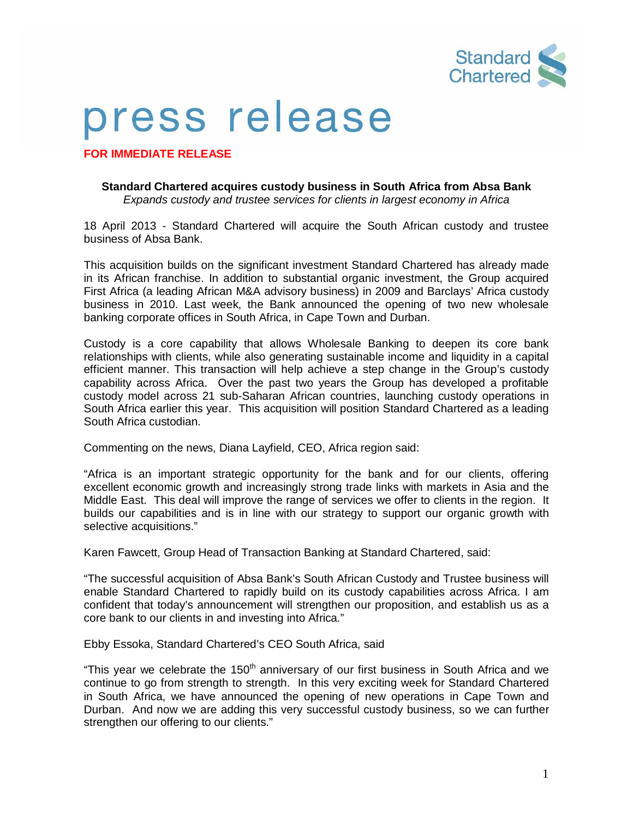

## press release

**FOR IMMEDIATE RELEASE**

## **Standard Chartered acquires custody business in South Africa from Absa Bank** *Expands custody and trustee services for clients in largest economy in Africa*

18 April 2013 - Standard Chartered will acquire the South African custody and trustee business of Absa Bank.

This acquisition builds on the significant investment Standard Chartered has already made in its African franchise. In addition to substantial organic investment, the Group acquired First Africa (a leading African M&A advisory business) in 2009 and Barclays' Africa custody business in 2010. Last week, the Bank announced the opening of two new wholesale banking corporate offices in South Africa, in Cape Town and Durban.

Custody is a core capability that allows Wholesale Banking to deepen its core bank relationships with clients, while also generating sustainable income and liquidity in a capital efficient manner. This transaction will help achieve a step change in the Group's custody capability across Africa. Over the past two years the Group has developed a profitable custody model across 21 sub-Saharan African countries, launching custody operations in South Africa earlier this year. This acquisition will position Standard Chartered as a leading South Africa custodian.

Commenting on the news, Diana Layfield, CEO, Africa region said:

"Africa is an important strategic opportunity for the bank and for our clients, offering excellent economic growth and increasingly strong trade links with markets in Asia and the Middle East. This deal will improve the range of services we offer to clients in the region. It builds our capabilities and is in line with our strategy to support our organic growth with selective acquisitions."

Karen Fawcett, Group Head of Transaction Banking at Standard Chartered, said:

"The successful acquisition of Absa Bank's South African Custody and Trustee business will enable Standard Chartered to rapidly build on its custody capabilities across Africa. I am confident that today's announcement will strengthen our proposition, and establish us as a core bank to our clients in and investing into Africa."

Ebby Essoka, Standard Chartered's CEO South Africa, said

"This year we celebrate the 150<sup>th</sup> anniversary of our first business in South Africa and we continue to go from strength to strength. In this very exciting week for Standard Chartered in South Africa, we have announced the opening of new operations in Cape Town and Durban. And now we are adding this very successful custody business, so we can further strengthen our offering to our clients."